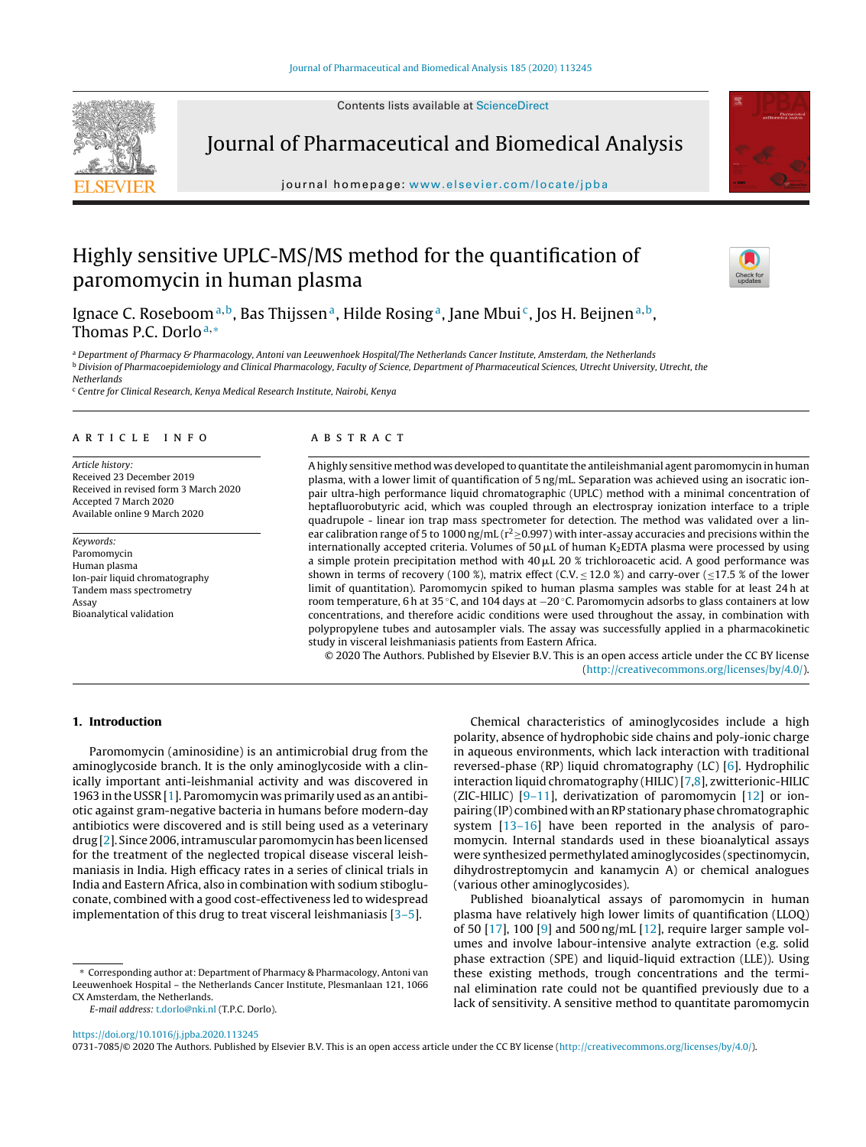Contents lists available at [ScienceDirect](http://www.sciencedirect.com/science/journal/07317085)



Journal of Pharmaceutical and Biomedical Analysis

iournal homepage: www.elsevier.com/locate/ipba



# Highly sensitive UPLC-MS/MS method for the quantification of paromomycin in human plasma



Ignace C. Roseboom<sup>a, b</sup>, Bas Thijssen<sup>a</sup>, Hilde Rosing<sup>a</sup>, Jane Mbui<sup>c</sup>, Jos H. Beijnen<sup>a, b</sup>, Thomas P.C. Dorlo<sup>a,∗</sup>

a Department of Pharmacy & Pharmacology, Antoni van Leeuwenhoek Hospital/The Netherlands Cancer Institute, Amsterdam, the Netherlands **b** Division of Pharmacoepidemiology and Clinical Pharmacology, Faculty of Science, Department of Pharmaceutical Sciences, Utrecht University, Utrecht, the Netherlands

<sup>c</sup> Centre for Clinical Research, Kenya Medical Research Institute, Nairobi, Kenya

## a r t i c l e i n f o

Article history: Received 23 December 2019 Received in revised form 3 March 2020 Accepted 7 March 2020 Available online 9 March 2020

Keywords: Paromomycin Human plasma Ion-pair liquid chromatography Tandem mass spectrometry Assay Bioanalytical validation

## A B S T R A C T

Ahighly sensitive method was developed to quantitate the antileishmanial agent paromomycin in human plasma, with a lower limit of quantification of 5 ng/mL. Separation was achieved using an isocratic ionpair ultra-high performance liquid chromatographic (UPLC) method with a minimal concentration of heptafluorobutyric acid, which was coupled through an electrospray ionization interface to a triple quadrupole - linear ion trap mass spectrometer for detection. The method was validated over a linear calibration range of 5 to 1000 ng/mL ( $r^2 \ge 0.997$ ) with inter-assay accuracies and precisions within the internationally accepted criteria. Volumes of 50  $\mu$ L of human K2EDTA plasma were processed by using a simple protein precipitation method with 40  $\mu$ L 20 % trichloroacetic acid. A good performance was shown in terms of recovery (100 %), matrix effect (C.V.  $\leq$  12.0 %) and carry-over ( $\leq$ 17.5 % of the lower limit of quantitation). Paromomycin spiked to human plasma samples was stable for at least 24 h at room temperature, 6 h at 35 °C, and 104 days at −20 °C. Paromomycin adsorbs to glass containers at low concentrations, and therefore acidic conditions were used throughout the assay, in combination with polypropylene tubes and autosampler vials. The assay was successfully applied in a pharmacokinetic study in visceral leishmaniasis patients from Eastern Africa.

© 2020 The Authors. Published by Elsevier B.V. This is an open access article under the CC BY license [\(http://creativecommons.org/licenses/by/4.0/](http://creativecommons.org/licenses/by/4.0/)).

## **1. Introduction**

Paromomycin (aminosidine) is an antimicrobial drug from the aminoglycoside branch. It is the only aminoglycoside with a clinically important anti-leishmanial activity and was discovered in 1963 in the USSR [\[1\].](#page-7-0) Paromomycin was primarily used as an antibiotic against gram-negative bacteria in humans before modern-day antibiotics were discovered and is still being used as a veterinary drug [[2\].](#page-7-0) Since 2006, intramuscular paromomycin has been licensed for the treatment of the neglected tropical disease visceral leishmaniasis in India. High efficacy rates in a series of clinical trials in India and Eastern Africa, also in combination with sodium stibogluconate, combined with a good cost-effectiveness led to widespread implementation of this drug to treat visceral leishmaniasis [\[3–5\].](#page-7-0)

Chemical characteristics of aminoglycosides include a high polarity, absence of hydrophobic side chains and poly-ionic charge in aqueous environments, which lack interaction with traditional reversed-phase (RP) liquid chromatography (LC) [[6\].](#page-7-0) Hydrophilic interaction liquid chromatography (HILIC)[[7,8\],](#page-7-0) zwitterionic-HILIC (ZIC-HILIC)  $[9-11]$ , derivatization of paromomycin  $[12]$  or ionpairing (IP) combined withanRP stationaryphase chromatographic system [\[13–16\]](#page-7-0) have been reported in the analysis of paromomycin. Internal standards used in these bioanalytical assays were synthesized permethylated aminoglycosides (spectinomycin, dihydrostreptomycin and kanamycin A) or chemical analogues (various other aminoglycosides).

Published bioanalytical assays of paromomycin in human plasma have relatively high lower limits of quantification (LLOQ) of 50 [\[17\],](#page-7-0) 100 [\[9\]](#page-7-0) and 500 ng/mL [\[12\],](#page-7-0) require larger sample volumes and involve labour-intensive analyte extraction (e.g. solid phase extraction (SPE) and liquid-liquid extraction (LLE)). Using these existing methods, trough concentrations and the terminal elimination rate could not be quantified previously due to a lack of sensitivity. A sensitive method to quantitate paromomycin

<https://doi.org/10.1016/j.jpba.2020.113245>

0731-7085/© 2020 The Authors. Published by Elsevier B.V. This is an open access article under the CC BY license ([http://creativecommons.org/licenses/by/4.0/\)](http://creativecommons.org/licenses/by/4.0/).

<sup>∗</sup> Corresponding author at: Department of Pharmacy & Pharmacology, Antoni van Leeuwenhoek Hospital – the Netherlands Cancer Institute, Plesmanlaan 121, 1066 CX Amsterdam, the Netherlands.

E-mail address: [t.dorlo@nki.nl](mailto:t.dorlo@nki.nl) (T.P.C. Dorlo).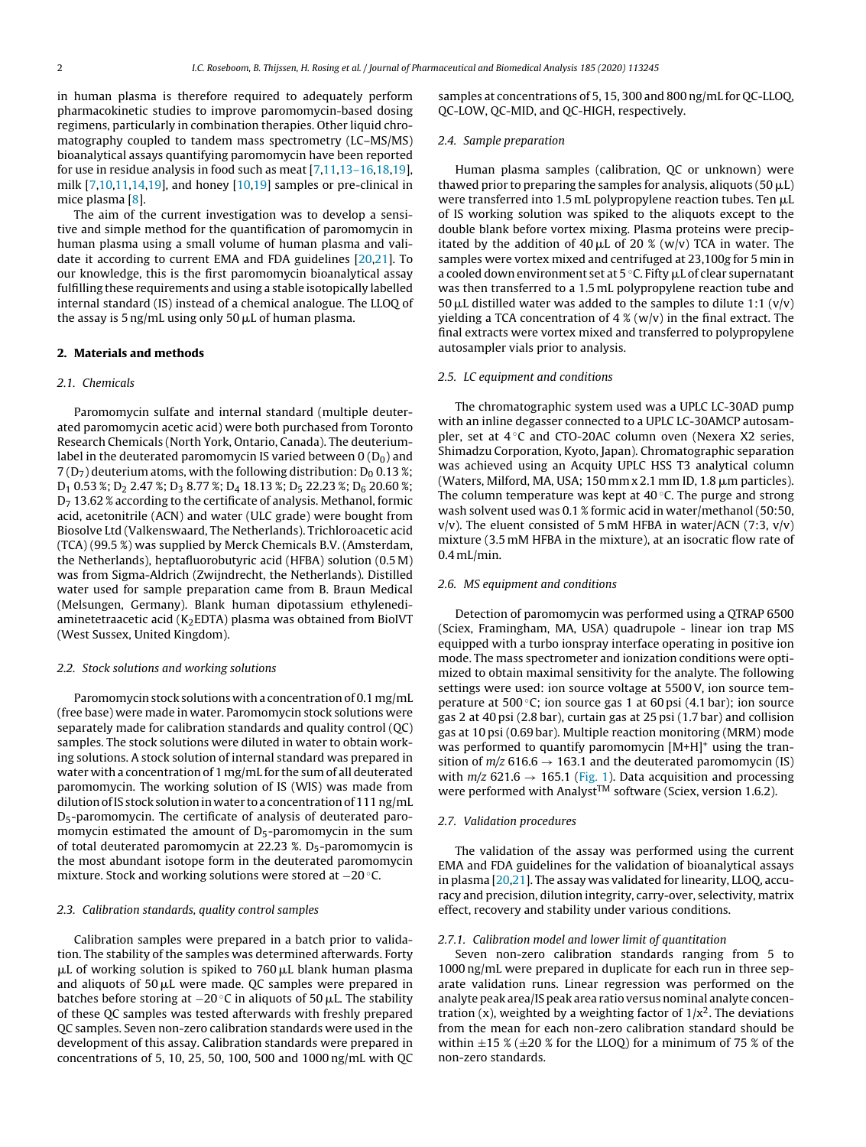<span id="page-1-0"></span>in human plasma is therefore required to adequately perform pharmacokinetic studies to improve paromomycin-based dosing regimens, particularly in combination therapies. Other liquid chromatography coupled to tandem mass spectrometry (LC–MS/MS) bioanalytical assays quantifying paromomycin have been reported for use in residue analysis in food such as meat [\[7,11,13–16,18,19\],](#page-7-0) milk [[7,10,11,14,19\],](#page-7-0) and honey [\[10,19\]](#page-7-0) samples or pre-clinical in mice plasma [[8\].](#page-7-0)

The aim of the current investigation was to develop a sensitive and simple method for the quantification of paromomycin in human plasma using a small volume of human plasma and validate it according to current EMA and FDA guidelines [\[20,21\].](#page-7-0) To our knowledge, this is the first paromomycin bioanalytical assay fulfilling these requirements and using a stable isotopically labelled internal standard (IS) instead of a chemical analogue. The LLOQ of the assay is 5 ng/mL using only 50 µL of human plasma.

# **2. Materials and methods**

## 2.1. Chemicals

Paromomycin sulfate and internal standard (multiple deuterated paromomycin acetic acid) were both purchased from Toronto Research Chemicals (North York, Ontario, Canada). The deuteriumlabel in the deuterated paromomycin IS varied between  $0(D_0)$  and  $7(D_7)$  deuterium atoms, with the following distribution:  $D_0$  0.13 %;  $D_1$  0.53 %;  $D_2$  2.47 %;  $D_3$  8.77 %;  $D_4$  18.13 %;  $D_5$  22.23 %;  $D_6$  20.60 %;  $D_7$  13.62 % according to the certificate of analysis. Methanol, formic acid, acetonitrile (ACN) and water (ULC grade) were bought from Biosolve Ltd (Valkenswaard, The Netherlands). Trichloroacetic acid (TCA) (99.5 %) was supplied by Merck Chemicals B.V. (Amsterdam, the Netherlands), heptafluorobutyric acid (HFBA) solution (0.5 M) was from Sigma-Aldrich (Zwijndrecht, the Netherlands). Distilled water used for sample preparation came from B. Braun Medical (Melsungen, Germany). Blank human dipotassium ethylenediaminetetraacetic acid ( $K_2$ EDTA) plasma was obtained from BioIVT (West Sussex, United Kingdom).

#### 2.2. Stock solutions and working solutions

Paromomycin stock solutions with a concentration of 0.1 mg/mL (free base) were made in water. Paromomycin stock solutions were separately made for calibration standards and quality control (QC) samples. The stock solutions were diluted in water to obtain working solutions. A stock solution of internal standard was prepared in water with a concentration of 1 mg/mL for the sum of all deuterated paromomycin. The working solution of IS (WIS) was made from dilution of IS stock solution in water to a concentration of 111 ng/mL D5-paromomycin. The certificate of analysis of deuterated paromomycin estimated the amount of  $D_5$ -paromomycin in the sum of total deuterated paromomycin at  $22.23$  %. D<sub>5</sub>-paromomycin is the most abundant isotope form in the deuterated paromomycin mixture. Stock and working solutions were stored at −20 ◦C.

#### 2.3. Calibration standards, quality control samples

Calibration samples were prepared in a batch prior to validation. The stability of the samples was determined afterwards. Forty μL of working solution is spiked to 760 μL blank human plasma and aliquots of 50  $\mu$ L were made. QC samples were prepared in batches before storing at  $-20\,^{\circ}$ C in aliquots of 50  $\mu$ L. The stability of these QC samples was tested afterwards with freshly prepared QC samples. Seven non-zero calibration standards were used in the development of this assay. Calibration standards were prepared in concentrations of 5, 10, 25, 50, 100, 500 and 1000 ng/mL with QC samples at concentrations of 5, 15, 300 and 800 ng/mL for QC-LLOQ, QC-LOW, QC-MID, and QC-HIGH, respectively.

## 2.4. Sample preparation

Human plasma samples (calibration, QC or unknown) were thawed prior to preparing the samples for analysis, aliquots (50  $\mu$ L) were transferred into 1.5 mL polypropylene reaction tubes. Ten  $\mu$ L of IS working solution was spiked to the aliquots except to the double blank before vortex mixing. Plasma proteins were precipitated by the addition of  $40 \mu$ L of 20 % (w/v) TCA in water. The samples were vortex mixed and centrifuged at 23,100g for 5 min in a cooled down environment set at 5 °C. Fifty  $\mu$ L of clear supernatant was then transferred to a 1.5 mL polypropylene reaction tube and 50  $\mu$ L distilled water was added to the samples to dilute 1:1 (v/v) yielding a TCA concentration of  $4\%$  (w/v) in the final extract. The final extracts were vortex mixed and transferred to polypropylene autosampler vials prior to analysis.

### 2.5. LC equipment and conditions

The chromatographic system used was a UPLC LC-30AD pump with an inline degasser connected to a UPLC LC-30AMCP autosampler, set at  $4^\circ$ C and CTO-20AC column oven (Nexera X2 series, Shimadzu Corporation, Kyoto, Japan). Chromatographic separation was achieved using an Acquity UPLC HSS T3 analytical column (Waters, Milford, MA, USA; 150 mm x 2.1 mm ID, 1.8  $\mu$ m particles). The column temperature was kept at  $40^{\circ}$ C. The purge and strong wash solvent used was 0.1 % formic acid in water/methanol (50:50,  $v/v$ ). The eluent consisted of 5 mM HFBA in water/ACN (7:3,  $v/v$ ) mixture (3.5 mM HFBA in the mixture), at an isocratic flow rate of 0.4 mL/min.

## 2.6. MS equipment and conditions

Detection of paromomycin was performed using a QTRAP 6500 (Sciex, Framingham, MA, USA) quadrupole - linear ion trap MS equipped with a turbo ionspray interface operating in positive ion mode. The mass spectrometer and ionization conditions were optimized to obtain maximal sensitivity for the analyte. The following settings were used: ion source voltage at 5500V, ion source temperature at 500 $\degree$ C; ion source gas 1 at 60 psi (4.1 bar); ion source gas 2 at 40 psi (2.8 bar), curtain gas at 25 psi (1.7 bar) and collision gas at 10 psi (0.69 bar). Multiple reaction monitoring (MRM) mode was performed to quantify paromomycin [M+H]<sup>+</sup> using the transition of  $m/z$  616.6  $\rightarrow$  163.1 and the deuterated paromomycin (IS) with  $m/z$  621.6  $\rightarrow$  165.1 ([Fig.](#page-2-0) 1). Data acquisition and processing were performed with Analyst<sup>TM</sup> software (Sciex, version 1.6.2).

#### 2.7. Validation procedures

The validation of the assay was performed using the current EMA and FDA guidelines for the validation of bioanalytical assays in plasma [\[20,21\].](#page-7-0) The assay was validated for linearity, LLOQ, accuracy and precision, dilution integrity, carry-over, selectivity, matrix effect, recovery and stability under various conditions.

#### 2.7.1. Calibration model and lower limit of quantitation

Seven non-zero calibration standards ranging from 5 to 1000 ng/mL were prepared in duplicate for each run in three separate validation runs. Linear regression was performed on the analyte peak area/IS peak area ratio versus nominal analyte concentration (x), weighted by a weighting factor of  $1/x^2$ . The deviations from the mean for each non-zero calibration standard should be within  $\pm$ 15 % ( $\pm$ 20 % for the LLOQ) for a minimum of 75 % of the non-zero standards.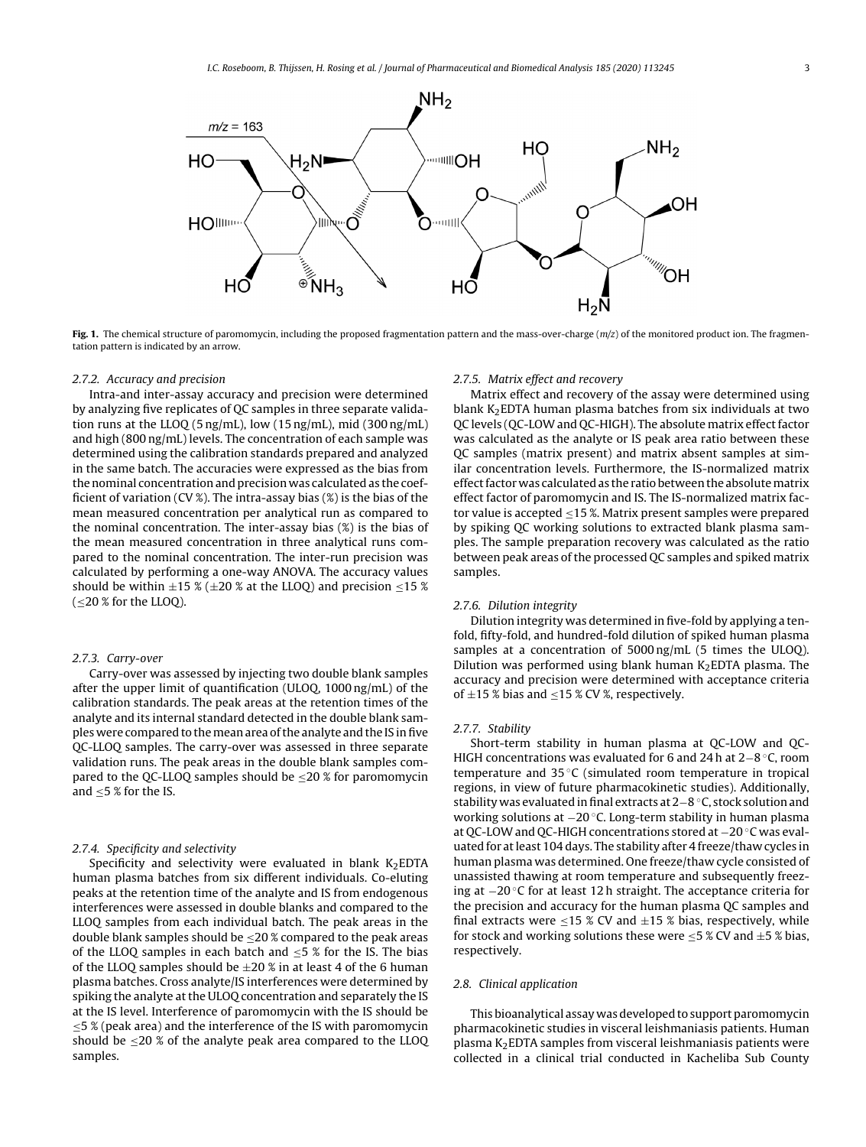<span id="page-2-0"></span>

**Fig. 1.** The chemical structure of paromomycin, including the proposed fragmentation pattern and the mass-over-charge  $(m/z)$  of the monitored product ion. The fragmentation pattern is indicated by an arrow.

#### 2.7.2. Accuracy and precision

Intra-and inter-assay accuracy and precision were determined by analyzing five replicates of QC samples in three separate validation runs at the LLOQ (5 ng/mL), low (15 ng/mL), mid (300 ng/mL) and high (800 ng/mL) levels. The concentration of each sample was determined using the calibration standards prepared and analyzed in the same batch. The accuracies were expressed as the bias from the nominal concentration and precision was calculated as the coefficient of variation (CV %). The intra-assay bias (%) is the bias of the mean measured concentration per analytical run as compared to the nominal concentration. The inter-assay bias (%) is the bias of the mean measured concentration in three analytical runs compared to the nominal concentration. The inter-run precision was calculated by performing a one-way ANOVA. The accuracy values should be within  $\pm$ 15 % ( $\pm$ 20 % at the LLOQ) and precision  $\leq$ 15 %  $\leq$  20 % for the LLOQ).

#### 2.7.3. Carry-over

Carry-over was assessed by injecting two double blank samples after the upper limit of quantification (ULOQ, 1000 ng/mL) of the calibration standards. The peak areas at the retention times of the analyte and its internal standard detected in the double blank samples were compared to themeanarea ofthe analyte and the IS infive QC-LLOQ samples. The carry-over was assessed in three separate validation runs. The peak areas in the double blank samples compared to the QC-LLOQ samples should be  $\leq$ 20 % for paromomycin and  $\leq$  5 % for the IS.

### 2.7.4. Specificity and selectivity

Specificity and selectivity were evaluated in blank  $K_2$ EDTA human plasma batches from six different individuals. Co-eluting peaks at the retention time of the analyte and IS from endogenous interferences were assessed in double blanks and compared to the LLOQ samples from each individual batch. The peak areas in the double blank samples should be  $\leq$ 20 % compared to the peak areas of the LLOQ samples in each batch and  $\leq$ 5 % for the IS. The bias of the LLOQ samples should be  $\pm 20$  % in at least 4 of the 6 human plasma batches. Cross analyte/IS interferences were determined by spiking the analyte at the ULOQ concentration and separately the IS at the IS level. Interference of paromomycin with the IS should be ≤5 % (peak area) and the interference of the IS with paromomycin should be  $\leq$ 20 % of the analyte peak area compared to the LLOQ samples.

#### 2.7.5. Matrix effect and recovery

Matrix effect and recovery of the assay were determined using blank  $K_2$ EDTA human plasma batches from six individuals at two QC levels (QC-LOW and QC-HIGH). The absolute matrix effect factor was calculated as the analyte or IS peak area ratio between these QC samples (matrix present) and matrix absent samples at similar concentration levels. Furthermore, the IS-normalized matrix effect factor was calculated as the ratio between the absolute matrix effect factor of paromomycin and IS. The IS-normalized matrix factor value is accepted  $\leq$ 15 %. Matrix present samples were prepared by spiking QC working solutions to extracted blank plasma samples. The sample preparation recovery was calculated as the ratio between peak areas of the processed QC samples and spiked matrix samples.

## 2.7.6. Dilution integrity

Dilution integrity was determined in five-fold by applying a tenfold, fifty-fold, and hundred-fold dilution of spiked human plasma samples at a concentration of 5000 ng/mL (5 times the ULOQ). Dilution was performed using blank human  $K_2$ EDTA plasma. The accuracy and precision were determined with acceptance criteria of  $\pm$ 15 % bias and  $\le$ 15 % CV %, respectively.

#### 2.7.7. Stability

Short-term stability in human plasma at QC-LOW and QC-HIGH concentrations was evaluated for 6 and 24 h at 2−8 ◦C, room temperature and 35 ◦C (simulated room temperature in tropical regions, in view of future pharmacokinetic studies). Additionally, stability was evaluated infinal extracts at 2−8 ◦C, stock solution and working solutions at −20 ◦C. Long-term stability in human plasma at QC-LOW and QC-HIGH concentrations stored at −20 ◦C was evaluated for atleast 104 days. The stability after 4 freeze/thaw cycles in human plasma was determined. One freeze/thaw cycle consisted of unassisted thawing at room temperature and subsequently freezing at −20 ◦C for at least 12 h straight. The acceptance criteria for the precision and accuracy for the human plasma QC samples and final extracts were  $\leq$ 15 % CV and  $\pm$ 15 % bias, respectively, while for stock and working solutions these were  $\leq$  5 % CV and  $\pm$  5 % bias, respectively.

## 2.8. Clinical application

This bioanalytical assay was developed to support paromomycin pharmacokinetic studies in visceral leishmaniasis patients. Human plasma  $K_2$ EDTA samples from visceral leishmaniasis patients were collected in a clinical trial conducted in Kacheliba Sub County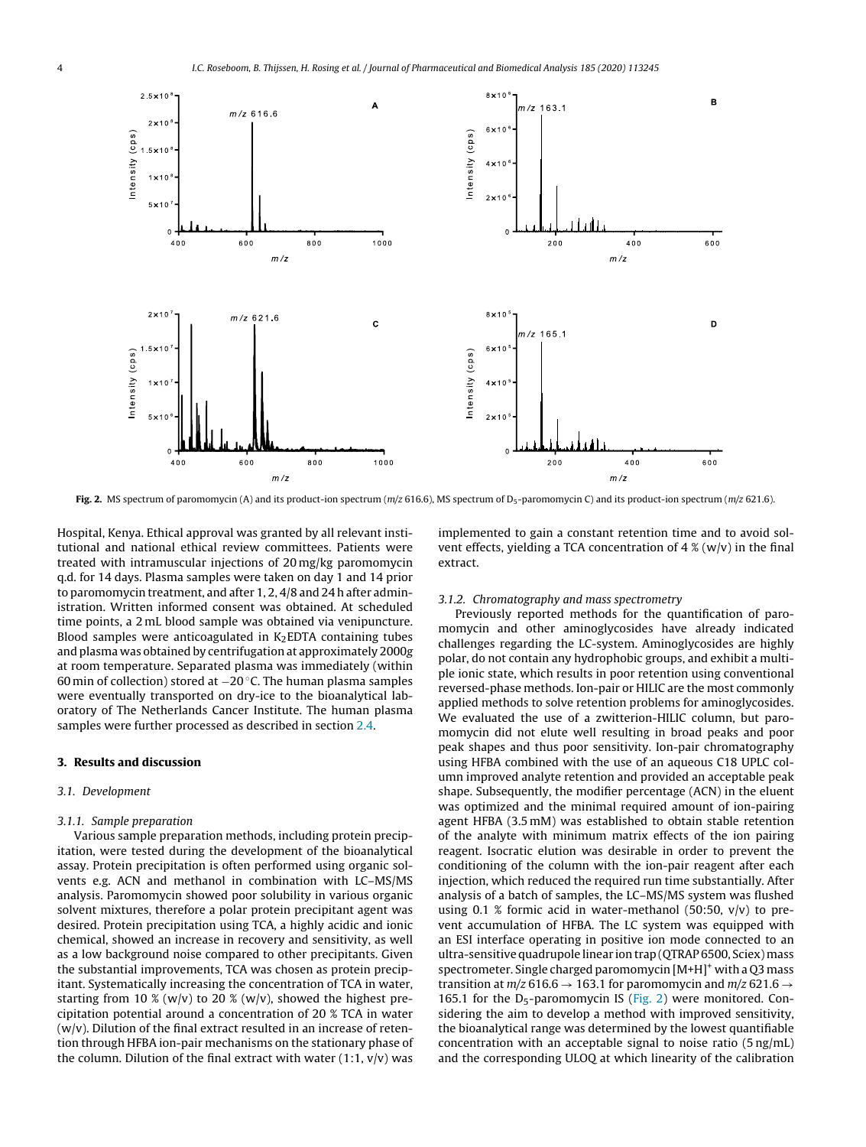

Fig. 2. MS spectrum of paromomycin (A) and its product-ion spectrum (m/z 616.6), MS spectrum of D<sub>5</sub>-paromomycin C) and its product-ion spectrum (m/z 621.6).

Hospital, Kenya. Ethical approval was granted by all relevant institutional and national ethical review committees. Patients were treated with intramuscular injections of 20 mg/kg paromomycin q.d. for 14 days. Plasma samples were taken on day 1 and 14 prior to paromomycin treatment, and after 1, 2, 4/8 and 24 h after administration. Written informed consent was obtained. At scheduled time points, a 2 mL blood sample was obtained via venipuncture. Blood samples were anticoagulated in  $K<sub>2</sub>EDTA$  containing tubes and plasma was obtained by centrifugation at approximately 2000g at room temperature. Separated plasma was immediately (within 60 min of collection) stored at −20 ◦C. The human plasma samples were eventually transported on dry-ice to the bioanalytical laboratory of The Netherlands Cancer Institute. The human plasma samples were further processed as described in section [2.4.](#page-1-0)

## **3. Results and discussion**

#### 3.1. Development

#### 3.1.1. Sample preparation

Various sample preparation methods, including protein precipitation, were tested during the development of the bioanalytical assay. Protein precipitation is often performed using organic solvents e.g. ACN and methanol in combination with LC–MS/MS analysis. Paromomycin showed poor solubility in various organic solvent mixtures, therefore a polar protein precipitant agent was desired. Protein precipitation using TCA, a highly acidic and ionic chemical, showed an increase in recovery and sensitivity, as well as a low background noise compared to other precipitants. Given the substantial improvements, TCA was chosen as protein precipitant. Systematically increasing the concentration of TCA in water, starting from 10 % (w/v) to 20 % (w/v), showed the highest precipitation potential around a concentration of 20 % TCA in water  $(w/v)$ . Dilution of the final extract resulted in an increase of retention through HFBA ion-pair mechanisms on the stationary phase of the column. Dilution of the final extract with water  $(1:1, v/v)$  was

implemented to gain a constant retention time and to avoid solvent effects, yielding a TCA concentration of  $4\%$  (w/v) in the final extract.

## 3.1.2. Chromatography and mass spectrometry

Previously reported methods for the quantification of paromomycin and other aminoglycosides have already indicated challenges regarding the LC-system. Aminoglycosides are highly polar, do not contain any hydrophobic groups, and exhibit a multiple ionic state, which results in poor retention using conventional reversed-phase methods. Ion-pair or HILIC are the most commonly applied methods to solve retention problems for aminoglycosides. We evaluated the use of a zwitterion-HILIC column, but paromomycin did not elute well resulting in broad peaks and poor peak shapes and thus poor sensitivity. Ion-pair chromatography using HFBA combined with the use of an aqueous C18 UPLC column improved analyte retention and provided an acceptable peak shape. Subsequently, the modifier percentage (ACN) in the eluent was optimized and the minimal required amount of ion-pairing agent HFBA (3.5 mM) was established to obtain stable retention of the analyte with minimum matrix effects of the ion pairing reagent. Isocratic elution was desirable in order to prevent the conditioning of the column with the ion-pair reagent after each injection, which reduced the required run time substantially. After analysis of a batch of samples, the LC–MS/MS system was flushed using 0.1 % formic acid in water-methanol (50:50,  $v/v$ ) to prevent accumulation of HFBA. The LC system was equipped with an ESI interface operating in positive ion mode connected to an ultra-sensitive quadrupole linear ion trap (QTRAP 6500, Sciex)mass spectrometer. Single charged paromomycin [M+H]<sup>+</sup> with a Q3 mass transition at  $m/z$  616.6  $\rightarrow$  163.1 for paromomycin and  $m/z$  621.6  $\rightarrow$ 165.1 for the  $D_5$ -paromomycin IS (Fig. 2) were monitored. Considering the aim to develop a method with improved sensitivity, the bioanalytical range was determined by the lowest quantifiable concentration with an acceptable signal to noise ratio (5 ng/mL) and the corresponding ULOQ at which linearity of the calibration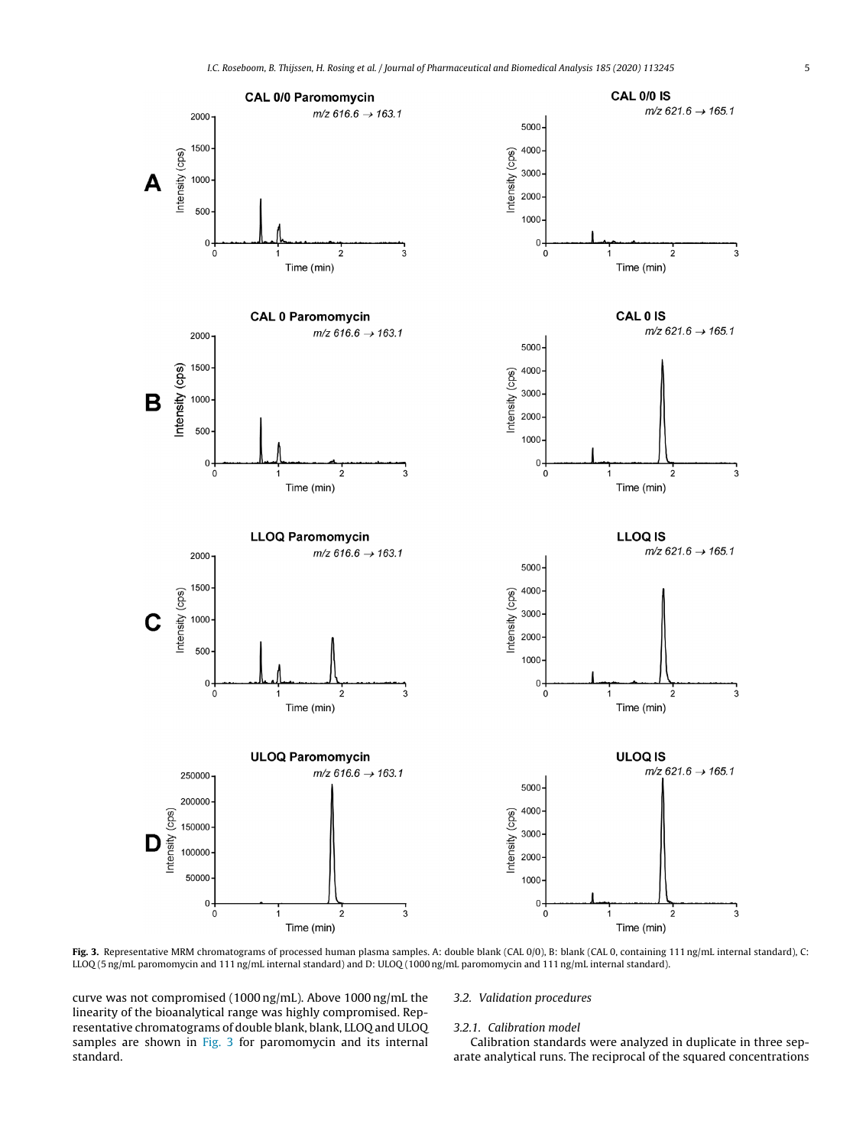

Fig. 3. Representative MRM chromatograms of processed human plasma samples. A: double blank (CAL 0/0), B: blank (CAL 0, containing 111 ng/mL internal standard), C: LLOQ (5 ng/mL paromomycin and 111 ng/mL internal standard) and D: ULOQ (1000 ng/mL paromomycin and 111 ng/mL internal standard).

curve was not compromised (1000 ng/mL). Above 1000 ng/mL the linearity of the bioanalytical range was highly compromised. Representative chromatograms of double blank, blank, LLOQ and ULOQ samples are shown in Fig. 3 for paromomycin and its internal standard.

## 3.2. Validation procedures

#### 3.2.1. Calibration model

Calibration standards were analyzed in duplicate in three separate analytical runs. The reciprocal of the squared concentrations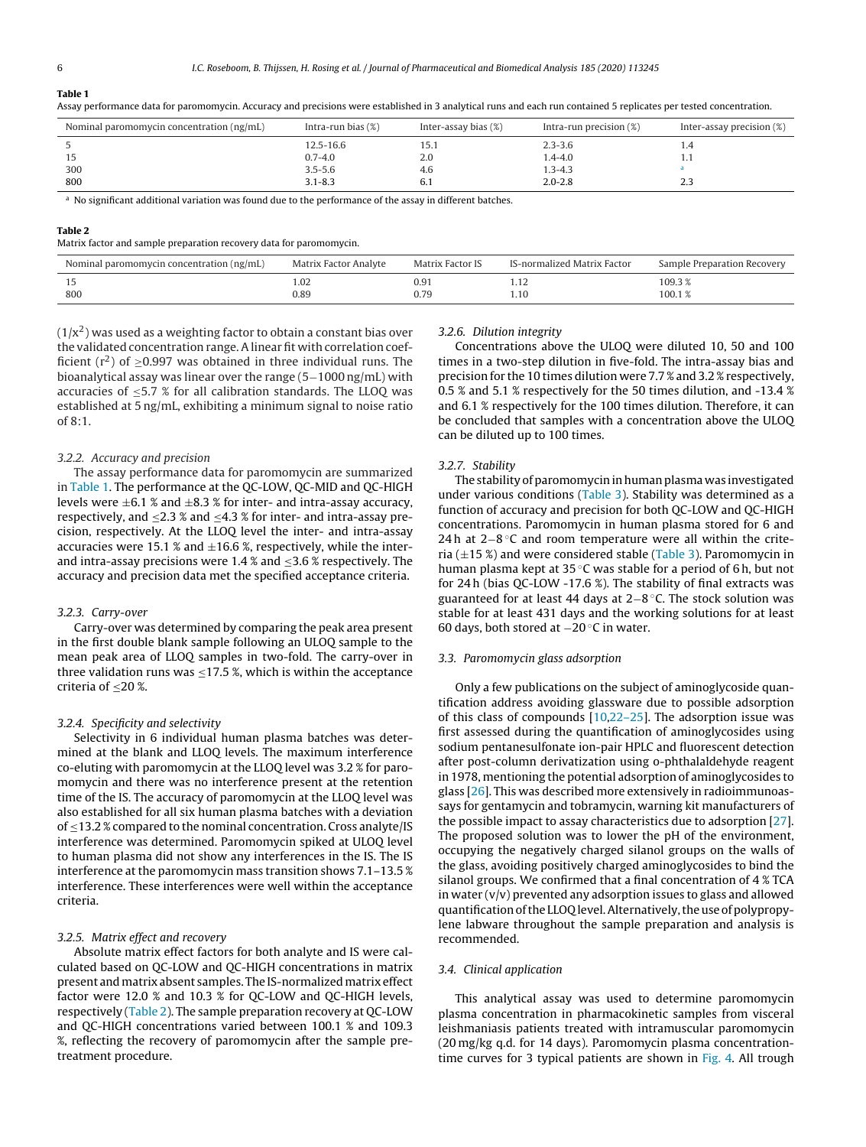#### **Table 1**

Assay performance data for paromomycin. Accuracy and precisions were established in 3 analytical runs and each run contained 5 replicates per tested concentration.

| Nominal paromomycin concentration (ng/mL) | Intra-run bias $(\%)$ | Inter-assay bias (%) | Intra-run precision $(\%)$ | Inter-assay precision (%) |
|-------------------------------------------|-----------------------|----------------------|----------------------------|---------------------------|
|                                           | 12.5-16.6             | 1 J.I                | $2.3 - 3.6$                | 1.4                       |
|                                           | $0.7 - 4.0$           | 2.0                  | $1.4 - 4.0$                | 1.1                       |
| 300                                       | $3.5 - 5.6$           | 4.6                  | $1.3 - 4.3$                |                           |
| 800                                       | $3.1 - 8.3$           | b. I                 | $2.0 - 2.8$                | د.ء                       |

<sup>a</sup> No significant additional variation was found due to the performance of the assay in different batches.

#### **Table 2**

Matrix factor and sample preparation recovery data for paromomycin.

| Nominal paromomycin concentration (ng/mL) | Matrix Factor Analyte | <b>Matrix Factor IS</b> | IS-normalized Matrix Factor | Sample Preparation Recovery |
|-------------------------------------------|-----------------------|-------------------------|-----------------------------|-----------------------------|
| <b>LJ</b>                                 | 1.02                  | 0.9                     | 1.12                        | 09.3،                       |
| 800                                       | 0.89                  | 0.79                    |                             | 100.1%                      |

 $(1/x<sup>2</sup>)$  was used as a weighting factor to obtain a constant bias over the validated concentration range. A linear fit with correlation coefficient ( $r^2$ ) of  $\geq$ 0.997 was obtained in three individual runs. The bioanalytical assay was linear over the range (5−1000 ng/mL) with accuracies of  $\leq$ 5.7 % for all calibration standards. The LLOQ was established at 5 ng/mL, exhibiting a minimum signal to noise ratio of 8:1.

## 3.2.2. Accuracy and precision

The assay performance data for paromomycin are summarized in Table 1. The performance at the QC-LOW, QC-MID and QC-HIGH levels were  $\pm 6.1$  % and  $\pm 8.3$  % for inter- and intra-assay accuracy, respectively, and ≤2.3 % and ≤4.3 % for inter- and intra-assay precision, respectively. At the LLOQ level the inter- and intra-assay accuracies were 15.1 % and  $\pm$ 16.6 %, respectively, while the interand intra-assay precisions were  $1.4$  % and  $\leq$ 3.6 % respectively. The accuracy and precision data met the specified acceptance criteria.

#### 3.2.3. Carry-over

Carry-over was determined by comparing the peak area present in the first double blank sample following an ULOQ sample to the mean peak area of LLOQ samples in two-fold. The carry-over in three validation runs was  $\leq$ 17.5 %, which is within the acceptance criteria of  $\leq$ 20 %.

#### 3.2.4. Specificity and selectivity

Selectivity in 6 individual human plasma batches was determined at the blank and LLOQ levels. The maximum interference co-eluting with paromomycin at the LLOQ level was 3.2 % for paromomycin and there was no interference present at the retention time of the IS. The accuracy of paromomycin at the LLOQ level was also established for all six human plasma batches with a deviation of ≤13.2 % compared to the nominal concentration. Cross analyte/IS interference was determined. Paromomycin spiked at ULOQ level to human plasma did not show any interferences in the IS. The IS interference at the paromomycin mass transition shows 7.1–13.5 % interference. These interferences were well within the acceptance criteria.

# 3.2.5. Matrix effect and recovery

Absolute matrix effect factors for both analyte and IS were calculated based on QC-LOW and QC-HIGH concentrations in matrix present andmatrix absent samples. The IS-normalizedmatrix effect factor were 12.0 % and 10.3 % for QC-LOW and QC-HIGH levels, respectively (Table 2). The sample preparation recovery at QC-LOW and QC-HIGH concentrations varied between 100.1 % and 109.3 %, reflecting the recovery of paromomycin after the sample pretreatment procedure.

#### 3.2.6. Dilution integrity

Concentrations above the ULOQ were diluted 10, 50 and 100 times in a two-step dilution in five-fold. The intra-assay bias and precision for the 10 times dilution were 7.7 % and 3.2 % respectively, 0.5 % and 5.1 % respectively for the 50 times dilution, and -13.4 % and 6.1 % respectively for the 100 times dilution. Therefore, it can be concluded that samples with a concentration above the ULOQ can be diluted up to 100 times.

#### 3.2.7. Stability

The stability of paromomycin in human plasma was investigated under various conditions [\(Table](#page-6-0) 3). Stability was determined as a function of accuracy and precision for both QC-LOW and QC-HIGH concentrations. Paromomycin in human plasma stored for 6 and 24h at 2−8 °C and room temperature were all within the criteria  $(\pm 15 \%)$  and were considered stable [\(Table](#page-6-0) 3). Paromomycin in human plasma kept at  $35^{\circ}$ C was stable for a period of 6 h, but not for 24 h (bias QC-LOW -17.6 %). The stability of final extracts was guaranteed for at least 44 days at 2−8 ◦C. The stock solution was stable for at least 431 days and the working solutions for at least 60 days, both stored at −20 ◦C in water.

#### 3.3. Paromomycin glass adsorption

Only a few publications on the subject of aminoglycoside quantification address avoiding glassware due to possible adsorption of this class of compounds  $[10,22-25]$ . The adsorption issue was first assessed during the quantification of aminoglycosides using sodium pentanesulfonate ion-pair HPLC and fluorescent detection after post-column derivatization using o-phthalaldehyde reagent in 1978, mentioning the potential adsorption of aminoglycosides to glass [[26\].](#page-7-0) This was described more extensively in radioimmunoassays for gentamycin and tobramycin, warning kit manufacturers of the possible impact to assay characteristics due to adsorption [\[27\].](#page-7-0) The proposed solution was to lower the pH of the environment, occupying the negatively charged silanol groups on the walls of the glass, avoiding positively charged aminoglycosides to bind the silanol groups. We confirmed that a final concentration of 4 % TCA in water  $(v/v)$  prevented any adsorption issues to glass and allowed quantification of the LLOQ level. Alternatively, the use of polypropylene labware throughout the sample preparation and analysis is recommended.

## 3.4. Clinical application

This analytical assay was used to determine paromomycin plasma concentration in pharmacokinetic samples from visceral leishmaniasis patients treated with intramuscular paromomycin (20 mg/kg q.d. for 14 days). Paromomycin plasma concentrationtime curves for 3 typical patients are shown in [Fig.](#page-6-0) 4. All trough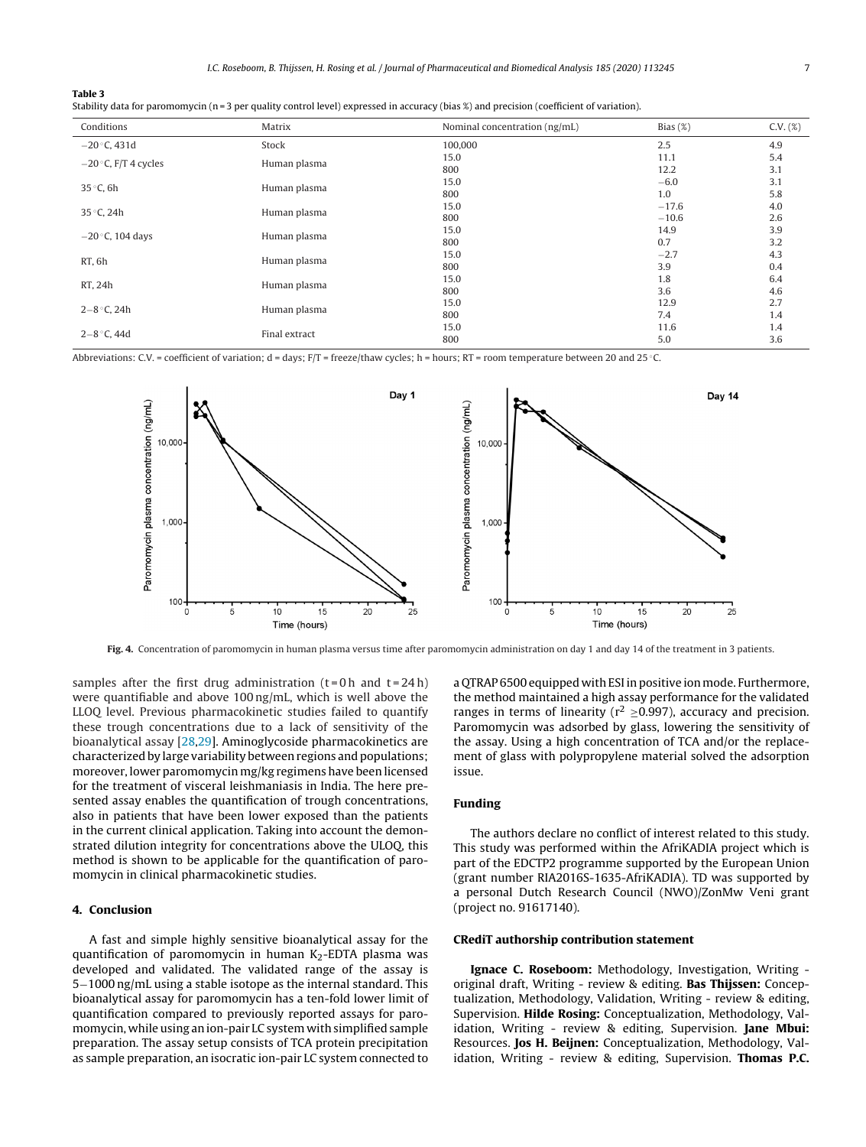<span id="page-6-0"></span>

|--|--|

|  |  |  |  |  | Stability data for paromomycin (n=3 per quality control level) expressed in accuracy (bias %) and precision (coefficient of variation). |  |  |  |  |
|--|--|--|--|--|-----------------------------------------------------------------------------------------------------------------------------------------|--|--|--|--|
|--|--|--|--|--|-----------------------------------------------------------------------------------------------------------------------------------------|--|--|--|--|

| Conditions                         | Matrix                                                                                                        | Nominal concentration (ng/mL) | Bias $(\%)$ | $C.V. (\%)$ |
|------------------------------------|---------------------------------------------------------------------------------------------------------------|-------------------------------|-------------|-------------|
| $-20$ °C, 431d                     | Stock                                                                                                         | 100,000                       | 2.5         | 4.9         |
|                                    |                                                                                                               | 15.0                          | 11.1        | 5.4         |
| $-20$ °C, F/T 4 cycles             |                                                                                                               | 800                           | 12.2        | 3.1         |
|                                    |                                                                                                               | 15.0                          | $-6.0$      | 3.1         |
| 35 °C, 6h<br>35 °C, 24h            |                                                                                                               | 800                           | 1.0         | 5.8         |
|                                    |                                                                                                               | 15.0                          | $-17.6$     | 4.0         |
|                                    |                                                                                                               | 800                           | $-10.6$     | 2.6         |
|                                    |                                                                                                               | 15.0                          | 14.9        | 3.9         |
| $-20$ °C, 104 days<br>Human plasma |                                                                                                               | 800                           | 0.7         | 3.2         |
|                                    |                                                                                                               | 15.0                          | $-2.7$      | 4.3         |
| RT, 6h                             | Human plasma<br>Human plasma<br>Human plasma<br>Human plasma<br>Human plasma<br>Human plasma<br>Final extract | 800                           | 3.9         | 0.4         |
| RT, 24h                            |                                                                                                               | 15.0                          | 1.8         | 6.4         |
|                                    |                                                                                                               | 800                           | 3.6         | 4.6         |
| $2 - 8$ °C, 24h                    |                                                                                                               | 15.0                          | 12.9        | 2.7         |
|                                    |                                                                                                               | 800                           | 7.4         | 1.4         |
|                                    |                                                                                                               | 15.0                          | 11.6        | 1.4         |
| $2 - 8$ °C, 44d                    |                                                                                                               | 800                           | 5.0         | 3.6         |

Abbreviations: C.V. = coefficient of variation; d = days; F/T = freeze/thaw cycles; h = hours; RT = room temperature between 20 and 25 ◦C.



**Fig. 4.** Concentration of paromomycin in human plasma versus time after paromomycin administration on day 1 and day 14 of the treatment in 3 patients.

samples after the first drug administration  $(t=0 h$  and  $t=24 h$ ) were quantifiable and above 100 ng/mL, which is well above the LLOQ level. Previous pharmacokinetic studies failed to quantify these trough concentrations due to a lack of sensitivity of the bioanalytical assay [[28,29\].](#page-7-0) Aminoglycoside pharmacokinetics are characterized by large variability between regions and populations; moreover, lower paromomycin mg/kg regimens have been licensed for the treatment of visceral leishmaniasis in India. The here presented assay enables the quantification of trough concentrations, also in patients that have been lower exposed than the patients in the current clinical application. Taking into account the demonstrated dilution integrity for concentrations above the ULOQ, this method is shown to be applicable for the quantification of paromomycin in clinical pharmacokinetic studies.

## **4. Conclusion**

A fast and simple highly sensitive bioanalytical assay for the quantification of paromomycin in human  $K<sub>2</sub>$ -EDTA plasma was developed and validated. The validated range of the assay is 5−1000 ng/mL using a stable isotope as the internal standard. This bioanalytical assay for paromomycin has a ten-fold lower limit of quantification compared to previously reported assays for paromomycin, while using an ion-pair LC system with simplified sample preparation. The assay setup consists of TCA protein precipitation as sample preparation, an isocratic ion-pair LC system connected to

a QTRAP 6500 equipped with ESI in positive ion mode. Furthermore, the method maintained a high assay performance for the validated ranges in terms of linearity ( $r^2 > 0.997$ ), accuracy and precision. Paromomycin was adsorbed by glass, lowering the sensitivity of the assay. Using a high concentration of TCA and/or the replacement of glass with polypropylene material solved the adsorption issue.

# **Funding**

The authors declare no conflict of interest related to this study. This study was performed within the AfriKADIA project which is part of the EDCTP2 programme supported by the European Union (grant number RIA2016S-1635-AfriKADIA). TD was supported by a personal Dutch Research Council (NWO)/ZonMw Veni grant (project no. 91617140).

#### **CRediT authorship contribution statement**

**Ignace C. Roseboom:** Methodology, Investigation, Writing original draft, Writing - review & editing. **Bas Thijssen:** Conceptualization, Methodology, Validation, Writing - review & editing, Supervision. **Hilde Rosing:** Conceptualization, Methodology, Validation, Writing - review & editing, Supervision. **Jane Mbui:** Resources. **Jos H. Beijnen:** Conceptualization, Methodology, Validation, Writing - review & editing, Supervision. **Thomas P.C.**